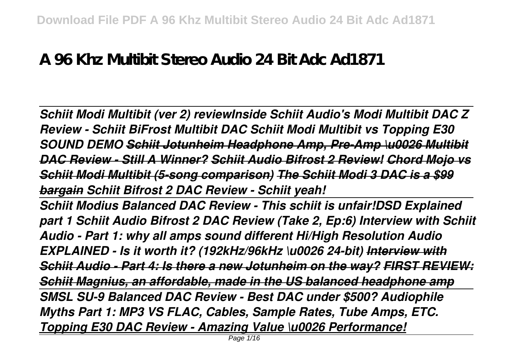## **A 96 Khz Multibit Stereo Audio 24 Bit Adc Ad1871**

*Schiit Modi Multibit (ver 2) reviewInside Schiit Audio's Modi Multibit DAC Z Review - Schiit BiFrost Multibit DAC Schiit Modi Multibit vs Topping E30 SOUND DEMO Schiit Jotunheim Headphone Amp, Pre-Amp \u0026 Multibit DAC Review - Still A Winner? Schiit Audio Bifrost 2 Review! Chord Mojo vs Schiit Modi Multibit (5-song comparison) The Schiit Modi 3 DAC is a \$99 bargain Schiit Bifrost 2 DAC Review - Schiit yeah!* 

*Schiit Modius Balanced DAC Review - This schiit is unfair!DSD Explained part 1 Schiit Audio Bifrost 2 DAC Review (Take 2, Ep:6) Interview with Schiit Audio - Part 1: why all amps sound different Hi/High Resolution Audio EXPLAINED - Is it worth it? (192kHz/96kHz \u0026 24-bit) Interview with Schiit Audio - Part 4: Is there a new Jotunheim on the way? FIRST REVIEW: Schiit Magnius, an affordable, made in the US balanced headphone amp SMSL SU-9 Balanced DAC Review - Best DAC under \$500? Audiophile Myths Part 1: MP3 VS FLAC, Cables, Sample Rates, Tube Amps, ETC. Topping E30 DAC Review - Amazing Value \u0026 Performance!*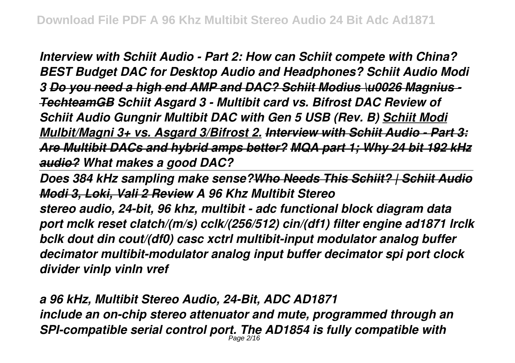*Interview with Schiit Audio - Part 2: How can Schiit compete with China? BEST Budget DAC for Desktop Audio and Headphones? Schiit Audio Modi 3 Do you need a high end AMP and DAC? Schiit Modius \u0026 Magnius - TechteamGB Schiit Asgard 3 - Multibit card vs. Bifrost DAC Review of Schiit Audio Gungnir Multibit DAC with Gen 5 USB (Rev. B) Schiit Modi Mulbit/Magni 3+ vs. Asgard 3/Bifrost 2. Interview with Schiit Audio - Part 3: Are Multibit DACs and hybrid amps better? MQA part 1; Why 24 bit 192 kHz audio? What makes a good DAC?* 

*Does 384 kHz sampling make sense?Who Needs This Schiit? | Schiit Audio Modi 3, Loki, Vali 2 Review A 96 Khz Multibit Stereo*

*stereo audio, 24-bit, 96 khz, multibit - adc functional block diagram data port mclk reset clatch/(m/s) cclk/(256/512) cin/(df1) filter engine ad1871 lrclk bclk dout din cout/(df0) casc xctrl multibit-input modulator analog buffer decimator multibit-modulator analog input buffer decimator spi port clock divider vinlp vinln vref*

*a 96 kHz, Multibit Stereo Audio, 24-Bit, ADC AD1871 include an on-chip stereo attenuator and mute, programmed through an SPI-compatible serial control port. The AD1854 is fully compatible with* Page 2/16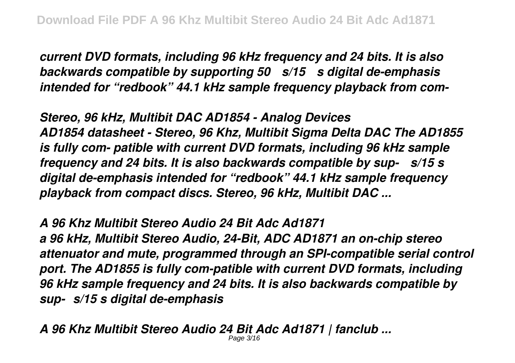*current DVD formats, including 96 kHz frequency and 24 bits. It is also backwards compatible by supporting 50 µs/15 µs digital de-emphasis intended for "redbook" 44.1 kHz sample frequency playback from com-*

*Stereo, 96 kHz, Multibit DAC AD1854 - Analog Devices AD1854 datasheet - Stereo, 96 Khz, Multibit Sigma Delta DAC The AD1855 is fully com- patible with current DVD formats, including 96 kHz sample frequency and 24 bits. It is also backwards compatible by sup- µs/15 s digital de-emphasis intended for "redbook" 44.1 kHz sample frequency playback from compact discs. Stereo, 96 kHz, Multibit DAC ...*

*A 96 Khz Multibit Stereo Audio 24 Bit Adc Ad1871 a 96 kHz, Multibit Stereo Audio, 24-Bit, ADC AD1871 an on-chip stereo attenuator and mute, programmed through an SPI-compatible serial control port. The AD1855 is fully com-patible with current DVD formats, including 96 kHz sample frequency and 24 bits. It is also backwards compatible by sup-µs/15 s digital de-emphasis*

*A 96 Khz Multibit Stereo Audio 24 Bit Adc Ad1871 | fanclub ...* Page 3/16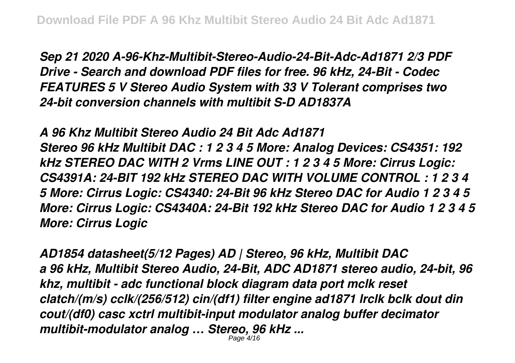*Sep 21 2020 A-96-Khz-Multibit-Stereo-Audio-24-Bit-Adc-Ad1871 2/3 PDF Drive - Search and download PDF files for free. 96 kHz, 24-Bit - Codec FEATURES 5 V Stereo Audio System with 33 V Tolerant comprises two 24-bit conversion channels with multibit S-D AD1837A*

*A 96 Khz Multibit Stereo Audio 24 Bit Adc Ad1871 Stereo 96 kHz Multibit DAC : 1 2 3 4 5 More: Analog Devices: CS4351: 192 kHz STEREO DAC WITH 2 Vrms LINE OUT : 1 2 3 4 5 More: Cirrus Logic: CS4391A: 24-BIT 192 kHz STEREO DAC WITH VOLUME CONTROL : 1 2 3 4 5 More: Cirrus Logic: CS4340: 24-Bit 96 kHz Stereo DAC for Audio 1 2 3 4 5 More: Cirrus Logic: CS4340A: 24-Bit 192 kHz Stereo DAC for Audio 1 2 3 4 5 More: Cirrus Logic*

*AD1854 datasheet(5/12 Pages) AD | Stereo, 96 kHz, Multibit DAC a 96 kHz, Multibit Stereo Audio, 24-Bit, ADC AD1871 stereo audio, 24-bit, 96 khz, multibit - adc functional block diagram data port mclk reset clatch/(m/s) cclk/(256/512) cin/(df1) filter engine ad1871 lrclk bclk dout din cout/(df0) casc xctrl multibit-input modulator analog buffer decimator multibit-modulator analog … Stereo, 96 kHz ...* Page 4/16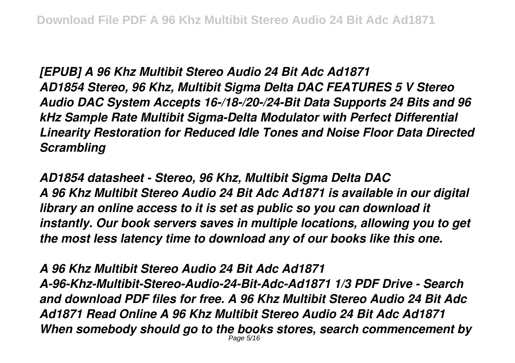*[EPUB] A 96 Khz Multibit Stereo Audio 24 Bit Adc Ad1871 AD1854 Stereo, 96 Khz, Multibit Sigma Delta DAC FEATURES 5 V Stereo Audio DAC System Accepts 16-/18-/20-/24-Bit Data Supports 24 Bits and 96 kHz Sample Rate Multibit Sigma-Delta Modulator with Perfect Differential Linearity Restoration for Reduced Idle Tones and Noise Floor Data Directed Scrambling*

*AD1854 datasheet - Stereo, 96 Khz, Multibit Sigma Delta DAC A 96 Khz Multibit Stereo Audio 24 Bit Adc Ad1871 is available in our digital library an online access to it is set as public so you can download it instantly. Our book servers saves in multiple locations, allowing you to get the most less latency time to download any of our books like this one.*

*A 96 Khz Multibit Stereo Audio 24 Bit Adc Ad1871 A-96-Khz-Multibit-Stereo-Audio-24-Bit-Adc-Ad1871 1/3 PDF Drive - Search and download PDF files for free. A 96 Khz Multibit Stereo Audio 24 Bit Adc Ad1871 Read Online A 96 Khz Multibit Stereo Audio 24 Bit Adc Ad1871 When somebody should go to the books stores, search commencement by* Page 5/16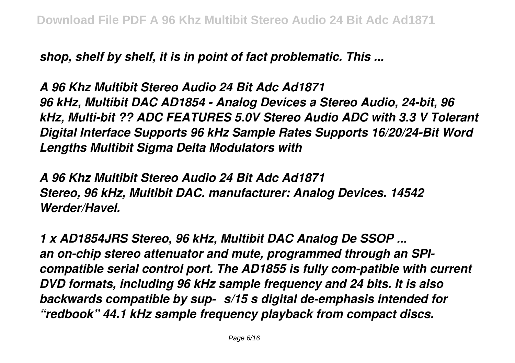*shop, shelf by shelf, it is in point of fact problematic. This ...*

*A 96 Khz Multibit Stereo Audio 24 Bit Adc Ad1871 96 kHz, Multibit DAC AD1854 - Analog Devices a Stereo Audio, 24-bit, 96 kHz, Multi-bit ?? ADC FEATURES 5.0V Stereo Audio ADC with 3.3 V Tolerant Digital Interface Supports 96 kHz Sample Rates Supports 16/20/24-Bit Word Lengths Multibit Sigma Delta Modulators with*

*A 96 Khz Multibit Stereo Audio 24 Bit Adc Ad1871 Stereo, 96 kHz, Multibit DAC. manufacturer: Analog Devices. 14542 Werder/Havel.*

*1 x AD1854JRS Stereo, 96 kHz, Multibit DAC Analog De SSOP ... an on-chip stereo attenuator and mute, programmed through an SPIcompatible serial control port. The AD1855 is fully com-patible with current DVD formats, including 96 kHz sample frequency and 24 bits. It is also backwards compatible by sup-µs/15 s digital de-emphasis intended for "redbook" 44.1 kHz sample frequency playback from compact discs.*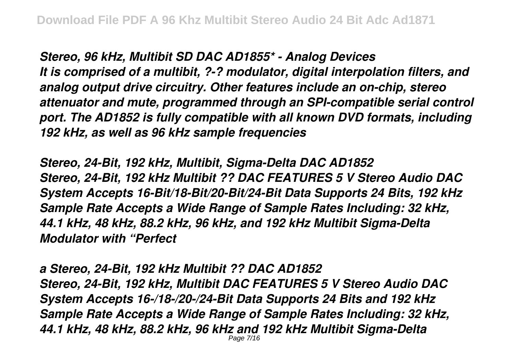*Stereo, 96 kHz, Multibit SD DAC AD1855\* - Analog Devices It is comprised of a multibit, ?-? modulator, digital interpolation filters, and analog output drive circuitry. Other features include an on-chip, stereo attenuator and mute, programmed through an SPI-compatible serial control port. The AD1852 is fully compatible with all known DVD formats, including 192 kHz, as well as 96 kHz sample frequencies*

*Stereo, 24-Bit, 192 kHz, Multibit, Sigma-Delta DAC AD1852 Stereo, 24-Bit, 192 kHz Multibit ?? DAC FEATURES 5 V Stereo Audio DAC System Accepts 16-Bit/18-Bit/20-Bit/24-Bit Data Supports 24 Bits, 192 kHz Sample Rate Accepts a Wide Range of Sample Rates Including: 32 kHz, 44.1 kHz, 48 kHz, 88.2 kHz, 96 kHz, and 192 kHz Multibit Sigma-Delta Modulator with "Perfect*

*a Stereo, 24-Bit, 192 kHz Multibit ?? DAC AD1852 Stereo, 24-Bit, 192 kHz, Multibit DAC FEATURES 5 V Stereo Audio DAC System Accepts 16-/18-/20-/24-Bit Data Supports 24 Bits and 192 kHz Sample Rate Accepts a Wide Range of Sample Rates Including: 32 kHz, 44.1 kHz, 48 kHz, 88.2 kHz, 96 kHz and 192 kHz Multibit Sigma-Delta* Page 7/16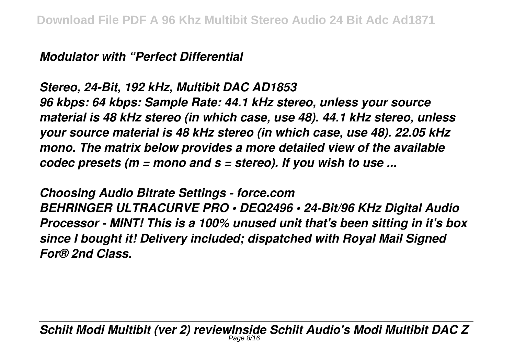*Modulator with "Perfect Differential*

## *Stereo, 24-Bit, 192 kHz, Multibit DAC AD1853*

*96 kbps: 64 kbps: Sample Rate: 44.1 kHz stereo, unless your source material is 48 kHz stereo (in which case, use 48). 44.1 kHz stereo, unless your source material is 48 kHz stereo (in which case, use 48). 22.05 kHz mono. The matrix below provides a more detailed view of the available codec presets (m = mono and s = stereo). If you wish to use ...*

*Choosing Audio Bitrate Settings - force.com BEHRINGER ULTRACURVE PRO • DEQ2496 • 24-Bit/96 KHz Digital Audio Processor - MINT! This is a 100% unused unit that's been sitting in it's box since I bought it! Delivery included; dispatched with Royal Mail Signed For® 2nd Class.*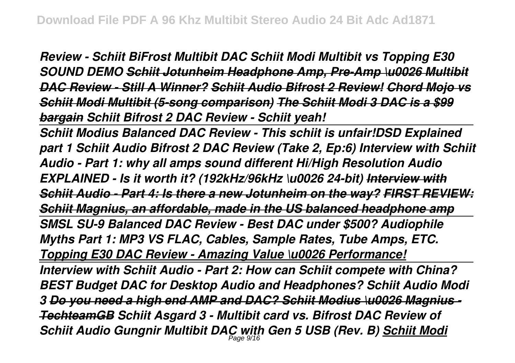*Review - Schiit BiFrost Multibit DAC Schiit Modi Multibit vs Topping E30 SOUND DEMO Schiit Jotunheim Headphone Amp, Pre-Amp \u0026 Multibit DAC Review - Still A Winner? Schiit Audio Bifrost 2 Review! Chord Mojo vs Schiit Modi Multibit (5-song comparison) The Schiit Modi 3 DAC is a \$99 bargain Schiit Bifrost 2 DAC Review - Schiit yeah!* 

*Schiit Modius Balanced DAC Review - This schiit is unfair!DSD Explained part 1 Schiit Audio Bifrost 2 DAC Review (Take 2, Ep:6) Interview with Schiit Audio - Part 1: why all amps sound different Hi/High Resolution Audio EXPLAINED - Is it worth it? (192kHz/96kHz \u0026 24-bit) Interview with Schiit Audio - Part 4: Is there a new Jotunheim on the way? FIRST REVIEW: Schiit Magnius, an affordable, made in the US balanced headphone amp SMSL SU-9 Balanced DAC Review - Best DAC under \$500? Audiophile Myths Part 1: MP3 VS FLAC, Cables, Sample Rates, Tube Amps, ETC. Topping E30 DAC Review - Amazing Value \u0026 Performance! Interview with Schiit Audio - Part 2: How can Schiit compete with China? BEST Budget DAC for Desktop Audio and Headphones? Schiit Audio Modi 3 Do you need a high end AMP and DAC? Schiit Modius \u0026 Magnius - TechteamGB Schiit Asgard 3 - Multibit card vs. Bifrost DAC Review of Schiit Audio Gungnir Multibit DAC with Gen 5 USB (Rev. B) Schiit Modi* Page 9/16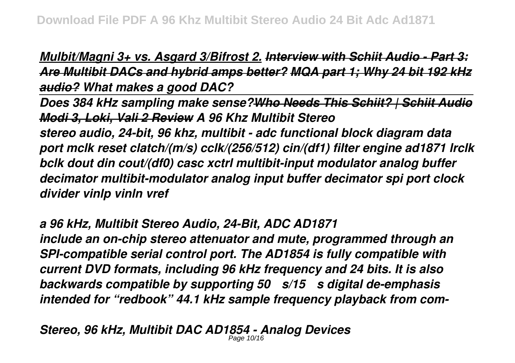*Mulbit/Magni 3+ vs. Asgard 3/Bifrost 2. Interview with Schiit Audio - Part 3: Are Multibit DACs and hybrid amps better? MQA part 1; Why 24 bit 192 kHz audio? What makes a good DAC?* 

*Does 384 kHz sampling make sense?Who Needs This Schiit? | Schiit Audio Modi 3, Loki, Vali 2 Review A 96 Khz Multibit Stereo*

*stereo audio, 24-bit, 96 khz, multibit - adc functional block diagram data port mclk reset clatch/(m/s) cclk/(256/512) cin/(df1) filter engine ad1871 lrclk bclk dout din cout/(df0) casc xctrl multibit-input modulator analog buffer decimator multibit-modulator analog input buffer decimator spi port clock divider vinlp vinln vref*

*a 96 kHz, Multibit Stereo Audio, 24-Bit, ADC AD1871*

*include an on-chip stereo attenuator and mute, programmed through an SPI-compatible serial control port. The AD1854 is fully compatible with current DVD formats, including 96 kHz frequency and 24 bits. It is also backwards compatible by supporting 50 µs/15 µs digital de-emphasis intended for "redbook" 44.1 kHz sample frequency playback from com-*

*Stereo, 96 kHz, Multibit DAC AD1854 - Analog Devices* Page 10/16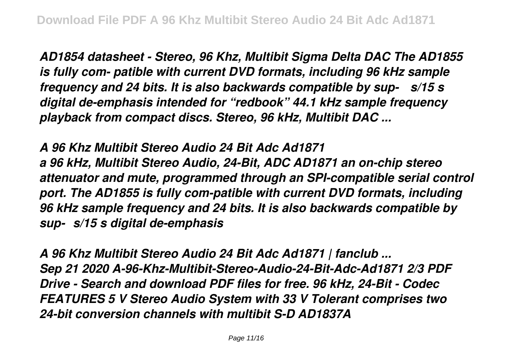*AD1854 datasheet - Stereo, 96 Khz, Multibit Sigma Delta DAC The AD1855 is fully com- patible with current DVD formats, including 96 kHz sample frequency and 24 bits. It is also backwards compatible by sup- µs/15 s digital de-emphasis intended for "redbook" 44.1 kHz sample frequency playback from compact discs. Stereo, 96 kHz, Multibit DAC ...*

*A 96 Khz Multibit Stereo Audio 24 Bit Adc Ad1871 a 96 kHz, Multibit Stereo Audio, 24-Bit, ADC AD1871 an on-chip stereo attenuator and mute, programmed through an SPI-compatible serial control port. The AD1855 is fully com-patible with current DVD formats, including 96 kHz sample frequency and 24 bits. It is also backwards compatible by sup-µs/15 s digital de-emphasis*

*A 96 Khz Multibit Stereo Audio 24 Bit Adc Ad1871 | fanclub ... Sep 21 2020 A-96-Khz-Multibit-Stereo-Audio-24-Bit-Adc-Ad1871 2/3 PDF Drive - Search and download PDF files for free. 96 kHz, 24-Bit - Codec FEATURES 5 V Stereo Audio System with 33 V Tolerant comprises two 24-bit conversion channels with multibit S-D AD1837A*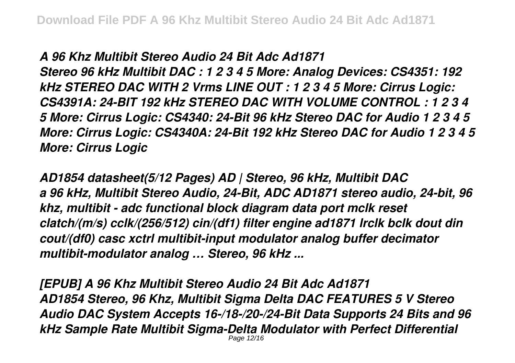## *A 96 Khz Multibit Stereo Audio 24 Bit Adc Ad1871*

*Stereo 96 kHz Multibit DAC : 1 2 3 4 5 More: Analog Devices: CS4351: 192 kHz STEREO DAC WITH 2 Vrms LINE OUT : 1 2 3 4 5 More: Cirrus Logic: CS4391A: 24-BIT 192 kHz STEREO DAC WITH VOLUME CONTROL : 1 2 3 4 5 More: Cirrus Logic: CS4340: 24-Bit 96 kHz Stereo DAC for Audio 1 2 3 4 5 More: Cirrus Logic: CS4340A: 24-Bit 192 kHz Stereo DAC for Audio 1 2 3 4 5 More: Cirrus Logic*

*AD1854 datasheet(5/12 Pages) AD | Stereo, 96 kHz, Multibit DAC a 96 kHz, Multibit Stereo Audio, 24-Bit, ADC AD1871 stereo audio, 24-bit, 96 khz, multibit - adc functional block diagram data port mclk reset clatch/(m/s) cclk/(256/512) cin/(df1) filter engine ad1871 lrclk bclk dout din cout/(df0) casc xctrl multibit-input modulator analog buffer decimator multibit-modulator analog … Stereo, 96 kHz ...*

*[EPUB] A 96 Khz Multibit Stereo Audio 24 Bit Adc Ad1871 AD1854 Stereo, 96 Khz, Multibit Sigma Delta DAC FEATURES 5 V Stereo Audio DAC System Accepts 16-/18-/20-/24-Bit Data Supports 24 Bits and 96 kHz Sample Rate Multibit Sigma-Delta Modulator with Perfect Differential* Page 12/16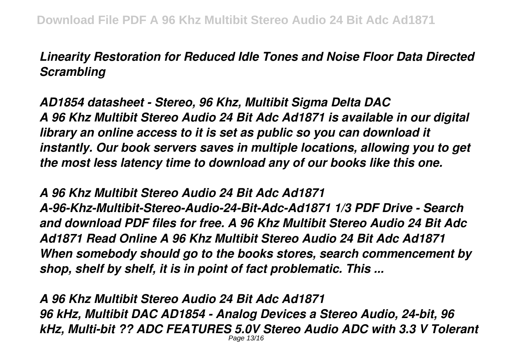## *Linearity Restoration for Reduced Idle Tones and Noise Floor Data Directed Scrambling*

*AD1854 datasheet - Stereo, 96 Khz, Multibit Sigma Delta DAC A 96 Khz Multibit Stereo Audio 24 Bit Adc Ad1871 is available in our digital library an online access to it is set as public so you can download it instantly. Our book servers saves in multiple locations, allowing you to get the most less latency time to download any of our books like this one.*

*A 96 Khz Multibit Stereo Audio 24 Bit Adc Ad1871 A-96-Khz-Multibit-Stereo-Audio-24-Bit-Adc-Ad1871 1/3 PDF Drive - Search and download PDF files for free. A 96 Khz Multibit Stereo Audio 24 Bit Adc Ad1871 Read Online A 96 Khz Multibit Stereo Audio 24 Bit Adc Ad1871 When somebody should go to the books stores, search commencement by shop, shelf by shelf, it is in point of fact problematic. This ...*

*A 96 Khz Multibit Stereo Audio 24 Bit Adc Ad1871 96 kHz, Multibit DAC AD1854 - Analog Devices a Stereo Audio, 24-bit, 96 kHz, Multi-bit ?? ADC FEATURES 5.0V Stereo Audio ADC with 3.3 V Tolerant* Page 13/16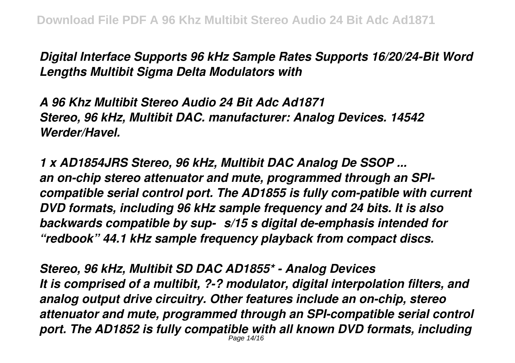*Digital Interface Supports 96 kHz Sample Rates Supports 16/20/24-Bit Word Lengths Multibit Sigma Delta Modulators with*

*A 96 Khz Multibit Stereo Audio 24 Bit Adc Ad1871 Stereo, 96 kHz, Multibit DAC. manufacturer: Analog Devices. 14542 Werder/Havel.*

*1 x AD1854JRS Stereo, 96 kHz, Multibit DAC Analog De SSOP ... an on-chip stereo attenuator and mute, programmed through an SPIcompatible serial control port. The AD1855 is fully com-patible with current DVD formats, including 96 kHz sample frequency and 24 bits. It is also backwards compatible by sup-µs/15 s digital de-emphasis intended for "redbook" 44.1 kHz sample frequency playback from compact discs.*

*Stereo, 96 kHz, Multibit SD DAC AD1855\* - Analog Devices It is comprised of a multibit, ?-? modulator, digital interpolation filters, and analog output drive circuitry. Other features include an on-chip, stereo attenuator and mute, programmed through an SPI-compatible serial control port. The AD1852 is fully compatible with all known DVD formats, including* Page 14/16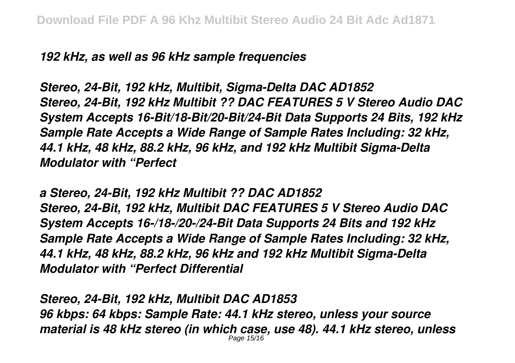*192 kHz, as well as 96 kHz sample frequencies*

*Stereo, 24-Bit, 192 kHz, Multibit, Sigma-Delta DAC AD1852 Stereo, 24-Bit, 192 kHz Multibit ?? DAC FEATURES 5 V Stereo Audio DAC System Accepts 16-Bit/18-Bit/20-Bit/24-Bit Data Supports 24 Bits, 192 kHz Sample Rate Accepts a Wide Range of Sample Rates Including: 32 kHz, 44.1 kHz, 48 kHz, 88.2 kHz, 96 kHz, and 192 kHz Multibit Sigma-Delta Modulator with "Perfect*

*a Stereo, 24-Bit, 192 kHz Multibit ?? DAC AD1852 Stereo, 24-Bit, 192 kHz, Multibit DAC FEATURES 5 V Stereo Audio DAC System Accepts 16-/18-/20-/24-Bit Data Supports 24 Bits and 192 kHz Sample Rate Accepts a Wide Range of Sample Rates Including: 32 kHz, 44.1 kHz, 48 kHz, 88.2 kHz, 96 kHz and 192 kHz Multibit Sigma-Delta Modulator with "Perfect Differential*

*Stereo, 24-Bit, 192 kHz, Multibit DAC AD1853 96 kbps: 64 kbps: Sample Rate: 44.1 kHz stereo, unless your source material is 48 kHz stereo (in which case, use 48). 44.1 kHz stereo, unless* Page 15/16